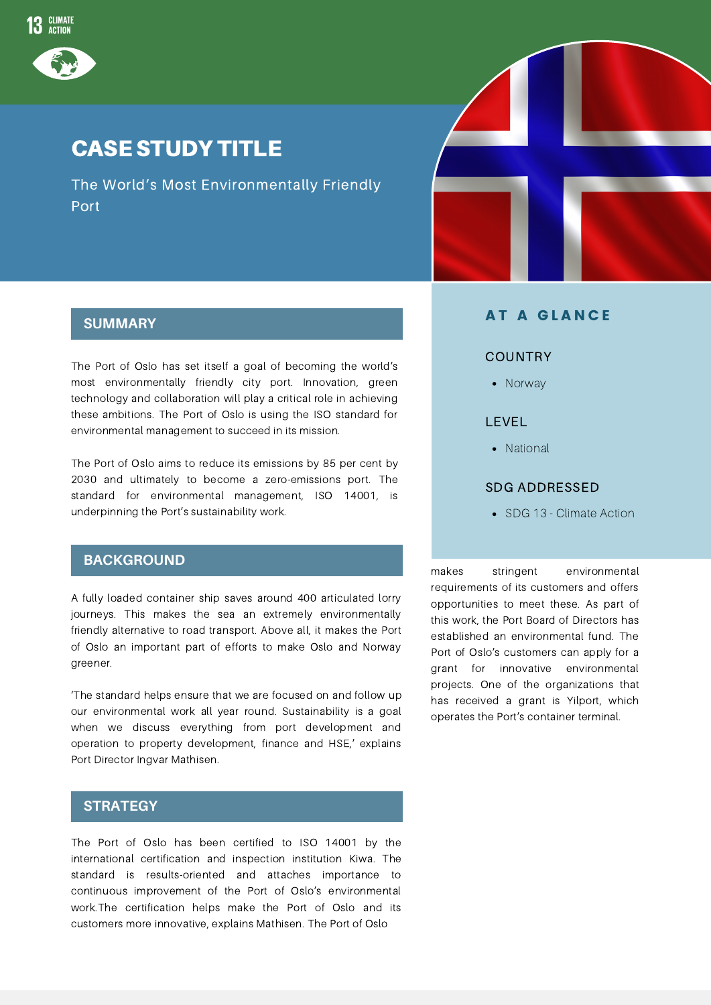

## CASE STUDY TITLE

The World's Most Environmentally Friendly Port



The Port of Oslo has set itself a goal of becoming the world's most environmentally friendly city port. Innovation, green technology and collaboration will play a critical role in achieving these ambitions. The Port of Oslo is using the ISO standard for environmental management to succeed in its mission.

The Port of Oslo aims to reduce its emissions by 85 per cent by 2030 and ultimately to become a zero-emissions port. The standard for environmental management, ISO 14001, is underpinning the Port's sustainability work.

### **BACKGROUND**

A fully loaded container ship saves around 400 articulated lorry journeys. This makes the sea an extremely environmentally friendly alternative to road transport. Above all, it makes the Port of Oslo an important part of efforts to make Oslo and Norway greener.

'The standard helps ensure that we are focused on and follow up our environmental work all year round. Sustainability is a goal when we discuss everything from port development and operation to property development, finance and HSE,' explains Port Director Ingvar Mathisen.

#### **STRATEGY**

The Port of Oslo has been certified to ISO 14001 by the international certification and inspection institution Kiwa. The standard is results-oriented and attaches importance to continuous improvement of the Port of Oslo's environmental work.The certification helps make the Port of Oslo and its customers more innovative, explains Mathisen. The Port of Oslo



### **AT A GLANCE**

#### **COUNTRY**

• Norway

### LEVEL

• National

#### SDG ADDRESSED

• SDG 13 - Climate Action

makes stringent environmental requirements of its customers and offers opportunities to meet these. As part of this work, the Port Board of Directors has established an environmental fund. The Port of Oslo's customers can apply for a grant for innovative environmental projects. One of the organizations that has received a grant is Yilport, which operates the Port's container terminal.